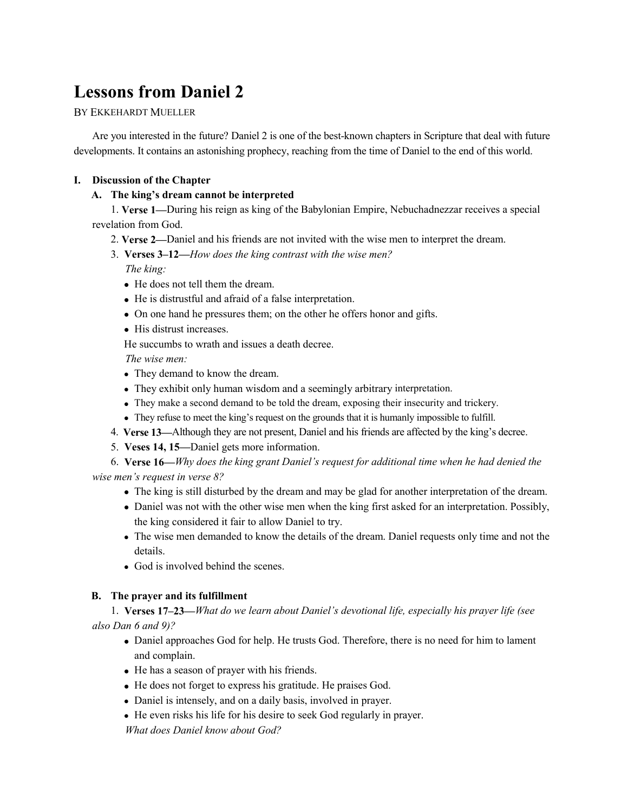# **Lessons from Daniel 2**

## BY EKKEHARDT MUELLER

Are you interested in the future? Daniel 2 is one of the best-known chapters in Scripture that deal with future developments. It contains an astonishing prophecy, reaching from the time of Daniel to the end of this world.

## **I. Discussion of the Chapter**

## **A. The king's dream cannot be interpreted**

1. **Verse 1—**During his reign as king of the Babylonian Empire, Nebuchadnezzar receives a special revelation from God.

- 2. **Verse 2—**Daniel and his friends are not invited with the wise men to interpret the dream.
- 3. **Verses 3–12—***How does the king contrast with the wise men?*

*The king:*

- He does not tell them the dream.
- He is distrustful and afraid of a false interpretation.
- On one hand he pressures them; on the other he offers honor and gifts.
- His distrust increases.

He succumbs to wrath and issues a death decree.

*The wise men:*

- They demand to know the dream.
- They exhibit only human wisdom and a seemingly arbitrary interpretation.
- They make a second demand to be told the dream, exposing their insecurity and trickery.
- They refuse to meet the king's request on the grounds that it is humanly impossible to fulfill.
- 4. **Verse 13—**Although they are not present, Daniel and his friends are affected by the king's decree.
- 5. **Veses 14, 15—**Daniel gets more information.

6. **Verse 16—***Why does the king grant Daniel's request for additional time when he had denied the wise men's request in verse 8?* 

- The king is still disturbed by the dream and may be glad for another interpretation of the dream.
- Daniel was not with the other wise men when the king first asked for an interpretation. Possibly, the king considered it fair to allow Daniel to try.
- The wise men demanded to know the details of the dream. Daniel requests only time and not the details.
- God is involved behind the scenes.

## **B. The prayer and its fulfillment**

1. **Verses 17–23—***What do we learn about Daniel's devotional life, especially his prayer life (see also Dan 6 and 9)?*

- Daniel approaches God for help. He trusts God. Therefore, there is no need for him to lament and complain.
- He has a season of prayer with his friends.
- He does not forget to express his gratitude. He praises God.
- Daniel is intensely, and on a daily basis, involved in prayer.
- He even risks his life for his desire to seek God regularly in prayer.

*What does Daniel know about God?*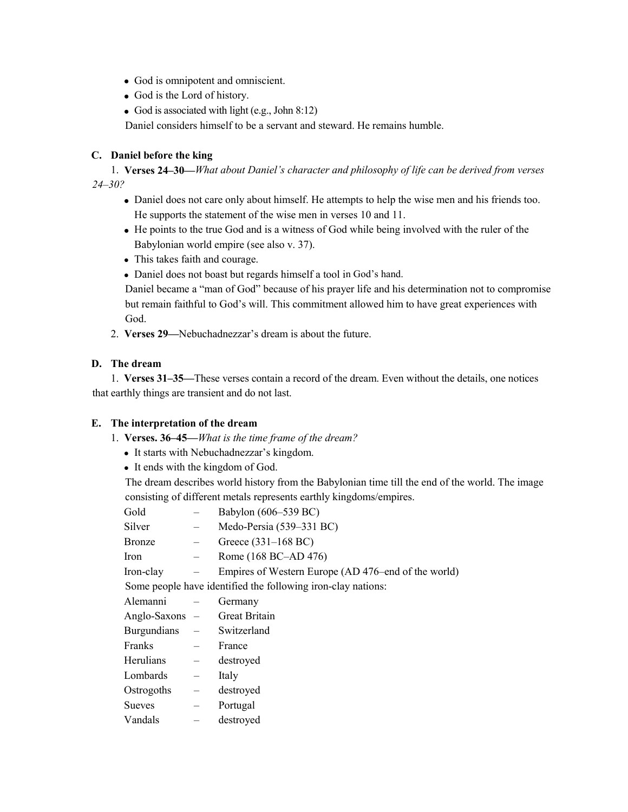- God is omnipotent and omniscient.
- God is the Lord of history.
- God is associated with light (e.g., John 8:12)

Daniel considers himself to be a servant and steward. He remains humble.

## **C. Daniel before the king**

1. **Verses 24–30—***What about Daniel's character and philos*o*phy of life can be derived from verses 24–30?*

- Daniel does not care only about himself. He attempts to help the wise men and his friends too. He supports the statement of the wise men in verses 10 and 11.
- He points to the true God and is a witness of God while being involved with the ruler of the Babylonian world empire (see also v. 37).
- This takes faith and courage.
- Daniel does not boast but regards himself a tool in God's hand.

Daniel became a "man of God" because of his prayer life and his determination not to compromise but remain faithful to God's will. This commitment allowed him to have great experiences with God.

2. **Verses 29—**Nebuchadnezzar's dream is about the future.

## **D. The dream**

1. **Verses 31–35—**These verses contain a record of the dream. Even without the details, one notices that earthly things are transient and do not last.

#### **E. The interpretation of the dream**

- 1. **Verses. 36–45—***What is the time frame of the dream?* 
	- It starts with Nebuchadnezzar's kingdom.
	- It ends with the kingdom of God.

The dream describes world history from the Babylonian time till the end of the world. The image consisting of different metals represents earthly kingdoms/empires.

| Gold                                                         |                                                             | Babylon (606–539 BC)                                |
|--------------------------------------------------------------|-------------------------------------------------------------|-----------------------------------------------------|
| Silver                                                       | $\overline{\phantom{m}}$                                    | Medo-Persia (539–331 BC)                            |
| Bronze                                                       | $\frac{1}{2}$                                               | Greece $(331-168 \text{ BC})$                       |
| Iron                                                         | $\frac{1}{2}$ and $\frac{1}{2}$                             | Rome (168 BC-AD 476)                                |
| Iron-clay                                                    | $\frac{1}{2}$ and $\frac{1}{2}$                             | Empires of Western Europe (AD 476–end of the world) |
| Some people have identified the following iron-clay nations: |                                                             |                                                     |
| Alemanni                                                     |                                                             | Germany                                             |
| Anglo-Saxons – Great Britain                                 |                                                             |                                                     |
| Burgundians – Switzerland                                    |                                                             |                                                     |
| Franks                                                       | $\mathcal{L}^{\mathcal{L}}$ and $\mathcal{L}^{\mathcal{L}}$ | France                                              |
| Herulians                                                    | $\equiv$                                                    | destroyed                                           |
| Lombards                                                     | $\overline{\phantom{m}}$                                    | Italy                                               |
| Ostrogoths                                                   | $\equiv$                                                    | destroyed                                           |
| Sueves                                                       | $\overline{\phantom{0}}$                                    | Portugal                                            |
| Vandals                                                      |                                                             | destroyed                                           |